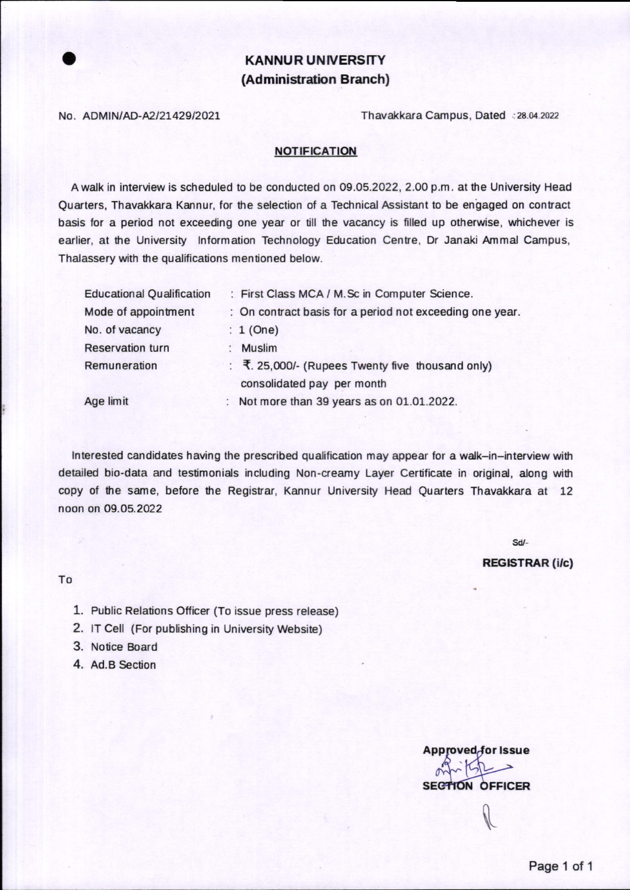# KANNUR UNIVERSITY (Administration Branch)

No. ADMIN/AD-A2/21429/2021 Thavakkara Campus, Dated ...28.04.2022

### **NOTIFICATION**

A walk in interview is scheduled to be conducted on 09.05.2022, 2.00 p.m, at he University Head Quarters, Thavakkara Kannur, for the selection of a Technical Assistant to be en'gaged on contract basis for a period not exceeding one year or till the vacancy is filled up otherwise, whichever is earlier, at the University Information Technology Education Centre, Dr Janaki Ammal Campus, Thalassery with the qualifications mentioned below.

| <b>Educational Qualification</b> | : First Class MCA / M.Sc in Computer Science.                                  |
|----------------------------------|--------------------------------------------------------------------------------|
| Mode of appointment              | : On contract basis for a period not exceeding one year.                       |
| No. of vacancy                   | $: 1$ (One)                                                                    |
| <b>Reservation turn</b>          | <b>Muslim</b>                                                                  |
| Remuneration                     | : ₹. 25,000/- (Rupees Twenty five thousand only)<br>consolidated pay per month |
| Age limit                        | Not more than 39 years as on 01.01.2022.                                       |

Interested candidates having the prescribed qualification may appear for a walk-in-interview with detailed bio-data and testimonials including Non-creamy Layer Certificate in original, along with copy of the same, before the Registrar, Kannur University Head Quarters Thavakkara at 12 noon on 09.05.2022

sd/-

#### **REGISTRAR (i/c)**

To

- 1. Public Relations Officer (To issue press release)
- 2. IT Cell (For publishing in University Website)
- 3. Notice Board
- 4. Ad.B Section

Approved for Issue **SECTION OFFICER** I